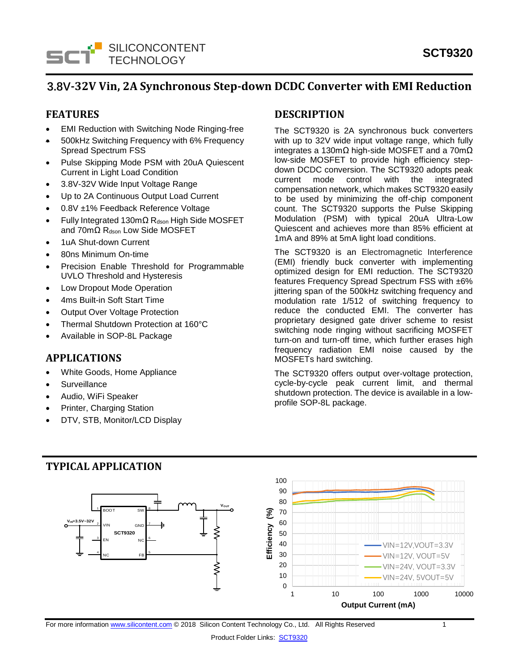

# **3.8V-32V Vin, 2A Synchronous Step-down DCDC Converter with EMI Reduction**

### **FEATURES**

- **EMI Reduction with Switching Node Ringing-free**
- 500kHz Switching Frequency with 6% Frequency Spread Spectrum FSS
- Pulse Skipping Mode PSM with 20uA Quiescent Current in Light Load Condition
- 3.8V-32V Wide Input Voltage Range
- Up to 2A Continuous Output Load Current
- 0.8V ±1% Feedback Reference Voltage
- Fully Integrated 130mΩ Rdson High Side MOSFET and 70mΩ Rdson Low Side MOSFET
- 1uA Shut-down Current
- 80ns Minimum On-time
- Precision Enable Threshold for Programmable UVLO Threshold and Hysteresis
- Low Dropout Mode Operation
- 4ms Built-in Soft Start Time
- **Output Over Voltage Protection**
- Thermal Shutdown Protection at 160°C
- Available in SOP-8L Package

### **APPLICATIONS**

- White Goods, Home Appliance
- **Surveillance**
- Audio, WiFi Speaker
- Printer, Charging Station
- DTV, STB, Monitor/LCD Display

### **DESCRIPTION**

The SCT9320 is 2A synchronous buck converters with up to 32V wide input voltage range, which fully integrates a 130mΩ high-side MOSFET and a 70mΩ low-side MOSFET to provide high efficiency stepdown DCDC conversion. The SCT9320 adopts peak current mode control with the integrated compensation network, which makes SCT9320 easily to be used by minimizing the off-chip component count. The SCT9320 supports the Pulse Skipping Modulation (PSM) with typical 20uA Ultra-Low Quiescent and achieves more than 85% efficient at 1mA and 89% at 5mA light load conditions.

The SCT9320 is an Electromagnetic Interference (EMI) friendly buck converter with implementing optimized design for EMI reduction. The SCT9320 features Frequency Spread Spectrum FSS with ±6% jittering span of the 500kHz switching frequency and modulation rate 1/512 of switching frequency to reduce the conducted EMI. The converter has proprietary designed gate driver scheme to resist switching node ringing without sacrificing MOSFET turn-on and turn-off time, which further erases high frequency radiation EMI noise caused by the MOSFETs hard switching.

The SCT9320 offers output over-voltage protection, cycle-by-cycle peak current limit, and thermal shutdown protection. The device is available in a lowprofile SOP-8L package.



# **TYPICAL APPLICATION**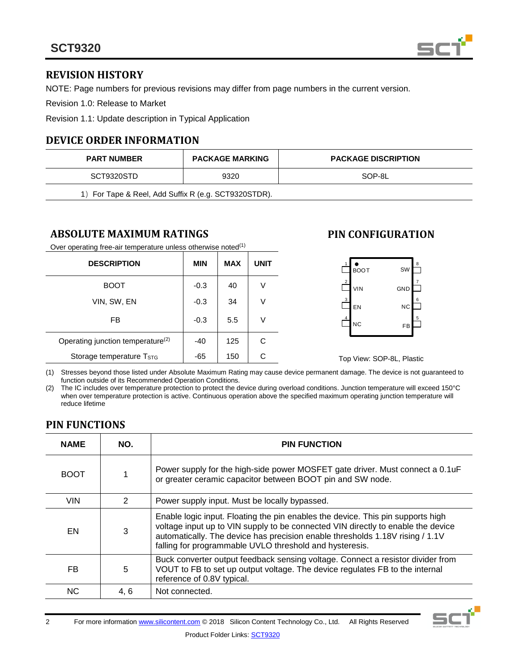

# **REVISION HISTORY**

NOTE: Page numbers for previous revisions may differ from page numbers in the current version.

Revision 1.0: Release to Market

Revision 1.1: Update description in Typical Application

# **DEVICE ORDER INFORMATION**

| <b>PART NUMBER</b>                                   | <b>PACKAGE MARKING</b> | <b>PACKAGE DISCRIPTION</b> |  |  |
|------------------------------------------------------|------------------------|----------------------------|--|--|
| SCT9320STD                                           | 9320                   | SOP-8L                     |  |  |
| 1) For Tape & Reel, Add Suffix R (e.g. SCT9320STDR). |                        |                            |  |  |

### **ABSOLUTE MAXIMUM RATINGS**

Over operating free-air temperature unless otherwise noted<sup>(1)</sup>

| <b>DESCRIPTION</b>                            | <b>MIN</b> | <b>MAX</b> | <b>UNIT</b> |
|-----------------------------------------------|------------|------------|-------------|
| <b>BOOT</b>                                   | $-0.3$     | 40         | V           |
| VIN, SW, EN                                   | $-0.3$     | 34         | V           |
| FB                                            | $-0.3$     | 5.5        | V           |
| Operating junction temperature <sup>(2)</sup> | -40        | 125        | C           |
| Storage temperature T <sub>STG</sub>          | -65        | 150        |             |

# **PIN CONFIGURATION**



Top View: SOP-8L, Plastic

(1) Stresses beyond those listed under Absolute Maximum Rating may cause device permanent damage. The device is not guaranteed to function outside of its Recommended Operation Conditions.

(2) The IC includes over temperature protection to protect the device during overload conditions. Junction temperature will exceed 150°C when over temperature protection is active. Continuous operation above the specified maximum operating junction temperature will reduce lifetime

# **PIN FUNCTIONS**

| <b>NAME</b> | NO.           | <b>PIN FUNCTION</b>                                                                                                                                                                                                                                                                                             |  |
|-------------|---------------|-----------------------------------------------------------------------------------------------------------------------------------------------------------------------------------------------------------------------------------------------------------------------------------------------------------------|--|
| <b>BOOT</b> |               | Power supply for the high-side power MOSFET gate driver. Must connect a 0.1uF<br>or greater ceramic capacitor between BOOT pin and SW node.                                                                                                                                                                     |  |
| <b>VIN</b>  | $\mathcal{P}$ | Power supply input. Must be locally bypassed.                                                                                                                                                                                                                                                                   |  |
| EN          | 3             | Enable logic input. Floating the pin enables the device. This pin supports high<br>voltage input up to VIN supply to be connected VIN directly to enable the device<br>automatically. The device has precision enable thresholds 1.18V rising / 1.1V<br>falling for programmable UVLO threshold and hysteresis. |  |
| <b>FB</b>   | 5             | Buck converter output feedback sensing voltage. Connect a resistor divider from<br>VOUT to FB to set up output voltage. The device regulates FB to the internal<br>reference of 0.8V typical.                                                                                                                   |  |
| NC.         | 4, 6          | Not connected.                                                                                                                                                                                                                                                                                                  |  |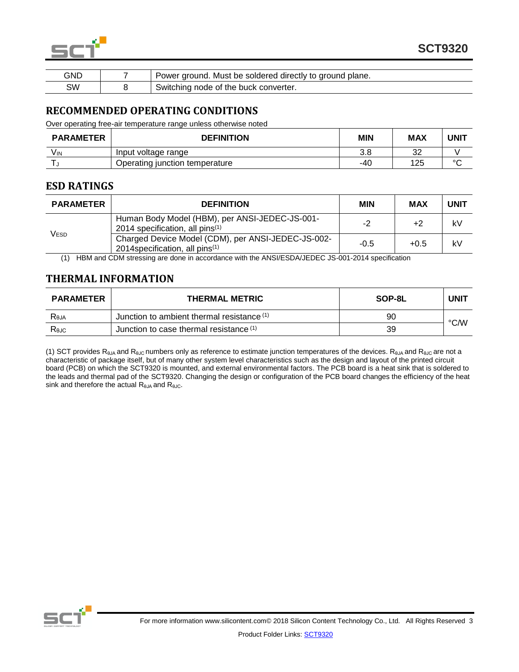

| GND | Power ground. Must be soldered directly to ground plane. |
|-----|----------------------------------------------------------|
| SW  | Switching node of the buck converter.                    |

### **RECOMMENDED OPERATING CONDITIONS**

Over operating free-air temperature range unless otherwise noted

| <b>PARAMETER</b> | <b>DEFINITION</b>              | <b>MIN</b> | <b>MAX</b> | UNIT   |
|------------------|--------------------------------|------------|------------|--------|
| Vın              | Input voltage range            | 3.8        | ົດ<br>ັ້   |        |
|                  | Operating junction temperature | -40        | 125        | $\sim$ |

### **ESD RATINGS**

| <b>PARAMETER</b> | <b>DEFINITION</b>                                                                                              | <b>MIN</b> | <b>MAX</b> | <b>UNIT</b> |
|------------------|----------------------------------------------------------------------------------------------------------------|------------|------------|-------------|
| V <sub>ESD</sub> | Human Body Model (HBM), per ANSI-JEDEC-JS-001-<br>2014 specification, all pins $(1)$                           | $-2$       | +2         | kV          |
|                  | Charged Device Model (CDM), per ANSI-JEDEC-JS-002-<br>2014 specification, all pins <sup><math>(1)</math></sup> | $-0.5$     | $+0.5$     | kV          |

(1) HBM and CDM stressing are done in accordance with the ANSI/ESDA/JEDEC JS-001-2014 specification

# **THERMAL INFORMATION**

| <b>PARAMETER</b> | <b>THERMAL METRIC</b>                      | SOP-8L | <b>UNIT</b> |
|------------------|--------------------------------------------|--------|-------------|
| Reja             | Junction to ambient thermal resistance (1) | 90     | °C/W        |
| Rejc             | Junction to case thermal resistance (1)    | 39     |             |

(1) SCT provides R<sub>θJA</sub> and R<sub>θJC</sub> numbers only as reference to estimate junction temperatures of the devices. R<sub>θJA</sub> and R<sub>θJC</sub> are not a characteristic of package itself, but of many other system level characteristics such as the design and layout of the printed circuit board (PCB) on which the SCT9320 is mounted, and external environmental factors. The PCB board is a heat sink that is soldered to the leads and thermal pad of the SCT9320. Changing the design or configuration of the PCB board changes the efficiency of the heat sink and therefore the actual  $R_{\theta JA}$  and  $R_{\theta JC}$ .

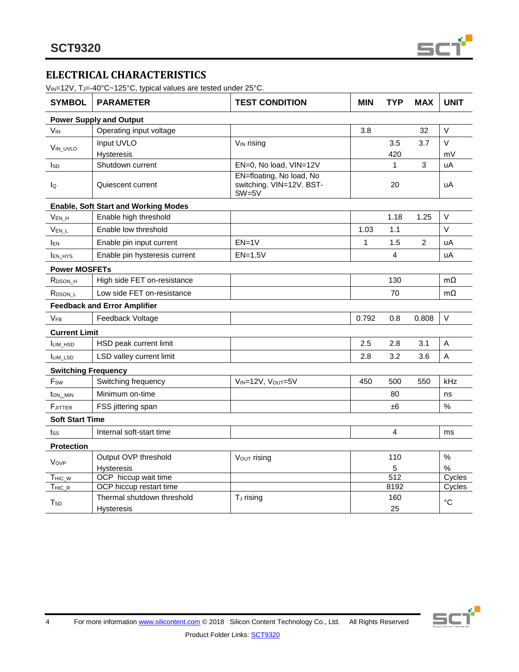

# **ELECTRICAL CHARACTERISTICS**

V<sub>IN</sub>=12V, T<sub>J</sub>=-40°C~125°C, typical values are tested under 25°C.

| <b>SYMBOL</b>              | <b>PARAMETER</b>                            | <b>TEST CONDITION</b>                                           | <b>MIN</b> | <b>TYP</b>       | <b>MAX</b>     | <b>UNIT</b>     |
|----------------------------|---------------------------------------------|-----------------------------------------------------------------|------------|------------------|----------------|-----------------|
|                            | <b>Power Supply and Output</b>              |                                                                 |            |                  |                |                 |
| <b>V<sub>IN</sub></b>      | Operating input voltage                     |                                                                 | 3.8        |                  | 32             | $\vee$          |
| VIN UVLO                   | Input UVLO                                  | V <sub>IN</sub> rising                                          |            | 3.5              | 3.7            | $\vee$          |
|                            | Hysteresis                                  |                                                                 |            | 420              |                | mV              |
| <b>I</b> sp                | Shutdown current                            | EN=0, No load, VIN=12V                                          |            | 1                | 3              | uA              |
| lo                         | Quiescent current                           | EN=floating, No load, No<br>switching. VIN=12V. BST-<br>$SW=5V$ |            | 20               |                | uA              |
|                            | <b>Enable, Soft Start and Working Modes</b> |                                                                 |            |                  |                |                 |
| V <sub>EN_H</sub>          | Enable high threshold                       |                                                                 |            | 1.18             | 1.25           | $\vee$          |
| $V_{EN\_L}$                | Enable low threshold                        |                                                                 | 1.03       | 1.1              |                | V               |
| <b>IEN</b>                 | Enable pin input current                    | $EN=1V$                                                         | 1          | 1.5              | $\overline{2}$ | uA              |
| <b>IEN_HYS</b>             | Enable pin hysteresis current               | $EN=1.5V$                                                       |            | 4                |                | uA              |
| <b>Power MOSFETs</b>       |                                             |                                                                 |            |                  |                |                 |
| R <sub>DSON</sub> H        | High side FET on-resistance                 |                                                                 |            | 130              |                | $m\Omega$       |
| R <sub>DSON</sub> L        | Low side FET on-resistance                  |                                                                 |            | 70               |                | $m\Omega$       |
|                            | <b>Feedback and Error Amplifier</b>         |                                                                 |            |                  |                |                 |
| <b>VFB</b>                 | Feedback Voltage                            |                                                                 | 0.792      | 0.8              | 0.808          | $\vee$          |
| <b>Current Limit</b>       |                                             |                                                                 |            |                  |                |                 |
| <b>ILIM HSD</b>            | HSD peak current limit                      |                                                                 | 2.5        | 2.8              | 3.1            | $\mathsf A$     |
| <b>ILIM LSD</b>            | LSD valley current limit                    |                                                                 | 2.8        | 3.2              | 3.6            | A               |
| <b>Switching Frequency</b> |                                             |                                                                 |            |                  |                |                 |
| F <sub>sw</sub>            | Switching frequency                         | VIN=12V, VOUT=5V                                                | 450        | 500              | 550            | kHz             |
| t <sub>ON_MIN</sub>        | Minimum on-time                             |                                                                 |            | 80               |                | ns              |
| <b>F</b> JITTER            | FSS jittering span                          |                                                                 |            | ±6               |                | $\%$            |
| <b>Soft Start Time</b>     |                                             |                                                                 |            |                  |                |                 |
| tss                        | Internal soft-start time                    |                                                                 |            | 4                |                | ms              |
| <b>Protection</b>          |                                             |                                                                 |            |                  |                |                 |
| Vovp                       | Output OVP threshold                        | Vout rising                                                     |            | 110              |                | $\%$            |
|                            | Hysteresis                                  |                                                                 |            | 5                |                | $\%$            |
| $T_{HIC\_W}$               | OCP hiccup wait time                        |                                                                 |            | $\overline{512}$ |                | Cycles          |
| $THIC_R$                   | OCP hiccup restart time                     |                                                                 |            | 8192             |                | Cycles          |
| T <sub>SD</sub>            | Thermal shutdown threshold<br>Hysteresis    | T <sub>J</sub> rising                                           |            | 160<br>25        |                | $\rm ^{\circ}C$ |
|                            |                                             |                                                                 |            |                  |                |                 |

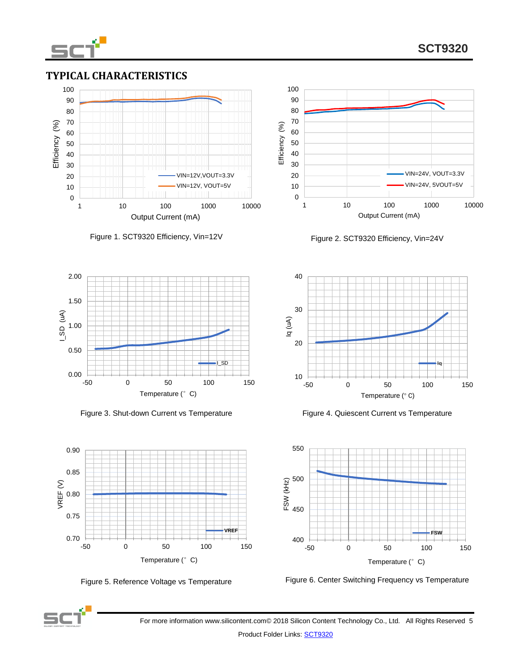

# **SCT9320**

### **TYPICAL CHARACTERISTICS**





Figure 3. Shut-down Current vs Temperature Figure 4. Quiescent Current vs Temperature





Figure 1. SCT9320 Efficiency, Vin=12V Figure 2. SCT9320 Efficiency, Vin=24V







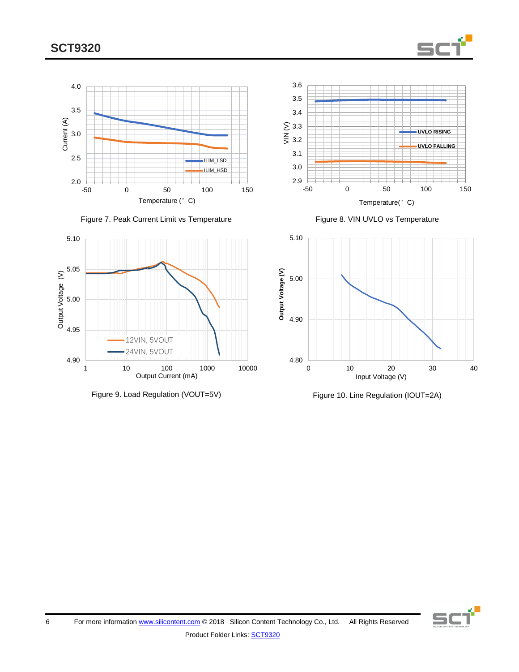







2.9  $\overline{=}$ <br>-50 -50 0 50 100 150 Temperature(°C)

**UVLO RISING UVLO FALLING**

3.0 3.1 3.2 S 3.3<br>≧ 3.2

3.4 3.5 3.6





SC

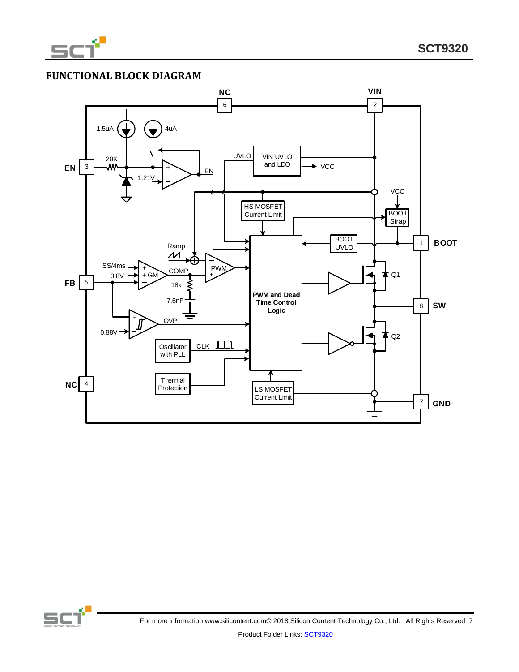

# **FUNCTIONAL BLOCK DIAGRAM**



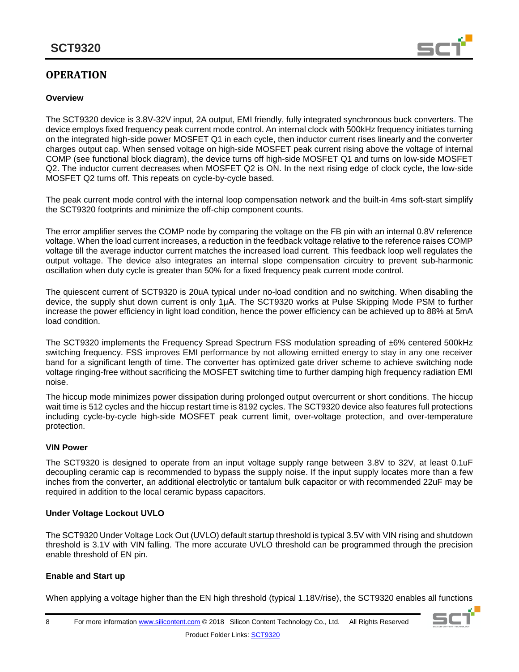# **OPERATION**

#### **Overview**



The SCT9320 device is 3.8V-32V input, 2A output, EMI friendly, fully integrated synchronous buck converters. The device employs fixed frequency peak current mode control. An internal clock with 500kHz frequency initiates turning on the integrated high-side power MOSFET Q1 in each cycle, then inductor current rises linearly and the converter charges output cap. When sensed voltage on high-side MOSFET peak current rising above the voltage of internal COMP (see functional block diagram), the device turns off high-side MOSFET Q1 and turns on low-side MOSFET Q2. The inductor current decreases when MOSFET Q2 is ON. In the next rising edge of clock cycle, the low-side MOSFET Q2 turns off. This repeats on cycle-by-cycle based.

The peak current mode control with the internal loop compensation network and the built-in 4ms soft-start simplify the SCT9320 footprints and minimize the off-chip component counts.

The error amplifier serves the COMP node by comparing the voltage on the FB pin with an internal 0.8V reference voltage. When the load current increases, a reduction in the feedback voltage relative to the reference raises COMP voltage till the average inductor current matches the increased load current. This feedback loop well regulates the output voltage. The device also integrates an internal slope compensation circuitry to prevent sub-harmonic oscillation when duty cycle is greater than 50% for a fixed frequency peak current mode control.

The quiescent current of SCT9320 is 20uA typical under no-load condition and no switching. When disabling the device, the supply shut down current is only 1μA. The SCT9320 works at Pulse Skipping Mode PSM to further increase the power efficiency in light load condition, hence the power efficiency can be achieved up to 88% at 5mA load condition.

The SCT9320 implements the Frequency Spread Spectrum FSS modulation spreading of ±6% centered 500kHz switching frequency. FSS improves EMI performance by not allowing emitted energy to stay in any one receiver band for a significant length of time. The converter has optimized gate driver scheme to achieve switching node voltage ringing-free without sacrificing the MOSFET switching time to further damping high frequency radiation EMI noise.

The hiccup mode minimizes power dissipation during prolonged output overcurrent or short conditions. The hiccup wait time is 512 cycles and the hiccup restart time is 8192 cycles. The SCT9320 device also features full protections including cycle-by-cycle high-side MOSFET peak current limit, over-voltage protection, and over-temperature protection.

#### **VIN Power**

The SCT9320 is designed to operate from an input voltage supply range between 3.8V to 32V, at least 0.1uF decoupling ceramic cap is recommended to bypass the supply noise. If the input supply locates more than a few inches from the converter, an additional electrolytic or tantalum bulk capacitor or with recommended 22uF may be required in addition to the local ceramic bypass capacitors.

#### **Under Voltage Lockout UVLO**

The SCT9320 Under Voltage Lock Out (UVLO) default startup threshold is typical 3.5V with VIN rising and shutdown threshold is 3.1V with VIN falling. The more accurate UVLO threshold can be programmed through the precision enable threshold of EN pin.

#### **Enable and Start up**

When applying a voltage higher than the EN high threshold (typical 1.18V/rise), the SCT9320 enables all functions

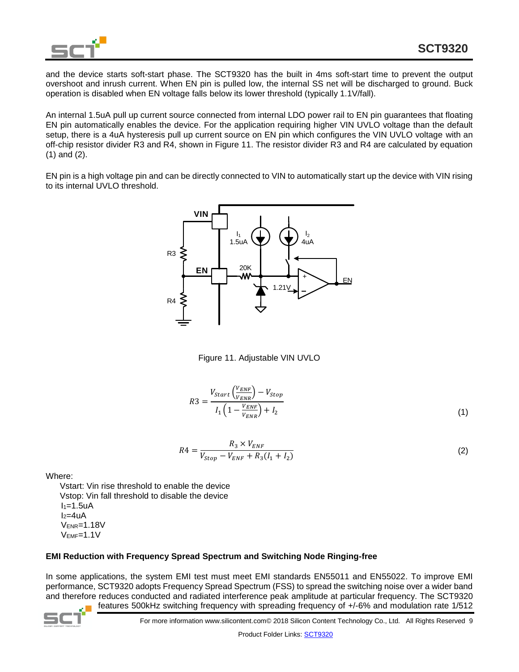

and the device starts soft-start phase. The SCT9320 has the built in 4ms soft-start time to prevent the output overshoot and inrush current. When EN pin is pulled low, the internal SS net will be discharged to ground. Buck operation is disabled when EN voltage falls below its lower threshold (typically 1.1V/fall).

An internal 1.5uA pull up current source connected from internal LDO power rail to EN pin guarantees that floating EN pin automatically enables the device. For the application requiring higher VIN UVLO voltage than the default setup, there is a 4uA hysteresis pull up current source on EN pin which configures the VIN UVLO voltage with an off-chip resistor divider R3 and R4, shown in Figure 11. The resistor divider R3 and R4 are calculated by equation (1) and (2).

EN pin is a high voltage pin and can be directly connected to VIN to automatically start up the device with VIN rising to its internal UVLO threshold.



Figure 11. Adjustable VIN UVLO

$$
R3 = \frac{V_{start}\left(\frac{V_{ENE}}{V_{ENE}}\right) - V_{Stop}}{I_1 \left(1 - \frac{V_{ENE}}{V_{ENE}}\right) + I_2}
$$
\n
$$
(1)
$$

$$
R4 = \frac{R_3 \times V_{ENF}}{V_{Stop} - V_{ENF} + R_3(I_1 + I_2)}
$$
\n(2)

Where:

 Vstart: Vin rise threshold to enable the device Vstop: Vin fall threshold to disable the device  $I_1=1.5$ uA  $I_2=4uA$ VENR=1.18V VEMF=1.1V

#### **EMI Reduction with Frequency Spread Spectrum and Switching Node Ringing-free**

In some applications, the system EMI test must meet EMI standards EN55011 and EN55022. To improve EMI performance, SCT9320 adopts Frequency Spread Spectrum (FSS) to spread the switching noise over a wider band and therefore reduces conducted and radiated interference peak amplitude at particular frequency. The SCT9320 features 500kHz switching frequency with spreading frequency of +/-6% and modulation rate 1/512



For more information www.silicontent.com© 2018 Silicon Content Technology Co., Ltd. All Rights Reserved 9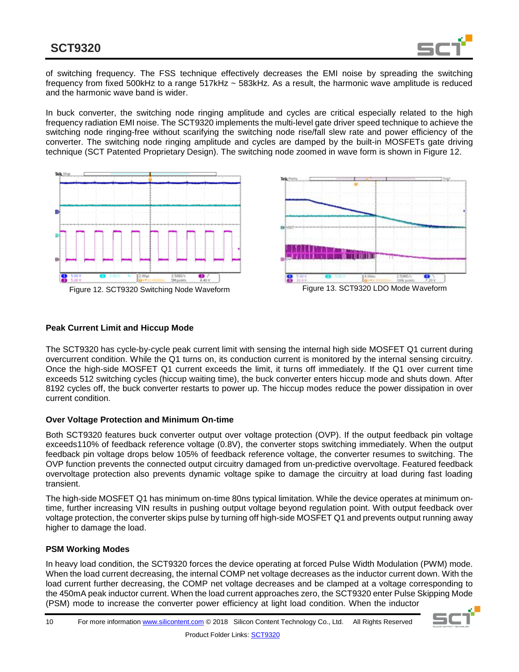

of switching frequency. The FSS technique effectively decreases the EMI noise by spreading the switching frequency from fixed 500kHz to a range 517kHz ~ 583kHz. As a result, the harmonic wave amplitude is reduced and the harmonic wave band is wider.

In buck converter, the switching node ringing amplitude and cycles are critical especially related to the high frequency radiation EMI noise. The SCT9320 implements the multi-level gate driver speed technique to achieve the switching node ringing-free without scarifying the switching node rise/fall slew rate and power efficiency of the converter. The switching node ringing amplitude and cycles are damped by the built-in MOSFETs gate driving technique (SCT Patented Proprietary Design). The switching node zoomed in wave form is shown in Figure 12.





#### **Peak Current Limit and Hiccup Mode**

The SCT9320 has cycle-by-cycle peak current limit with sensing the internal high side MOSFET Q1 current during overcurrent condition. While the Q1 turns on, its conduction current is monitored by the internal sensing circuitry. Once the high-side MOSFET Q1 current exceeds the limit, it turns off immediately. If the Q1 over current time exceeds 512 switching cycles (hiccup waiting time), the buck converter enters hiccup mode and shuts down. After 8192 cycles off, the buck converter restarts to power up. The hiccup modes reduce the power dissipation in over current condition.

#### **Over Voltage Protection and Minimum On-time**

Both SCT9320 features buck converter output over voltage protection (OVP). If the output feedback pin voltage exceeds110% of feedback reference voltage (0.8V), the converter stops switching immediately. When the output feedback pin voltage drops below 105% of feedback reference voltage, the converter resumes to switching. The OVP function prevents the connected output circuitry damaged from un-predictive overvoltage. Featured feedback overvoltage protection also prevents dynamic voltage spike to damage the circuitry at load during fast loading transient.

The high-side MOSFET Q1 has minimum on-time 80ns typical limitation. While the device operates at minimum ontime, further increasing VIN results in pushing output voltage beyond regulation point. With output feedback over voltage protection, the converter skips pulse by turning off high-side MOSFET Q1 and prevents output running away higher to damage the load.

#### **PSM Working Modes**

In heavy load condition, the SCT9320 forces the device operating at forced Pulse Width Modulation (PWM) mode. When the load current decreasing, the internal COMP net voltage decreases as the inductor current down. With the load current further decreasing, the COMP net voltage decreases and be clamped at a voltage corresponding to the 450mA peak inductor current. When the load current approaches zero, the SCT9320 enter Pulse Skipping Mode (PSM) mode to increase the converter power efficiency at light load condition. When the inductor

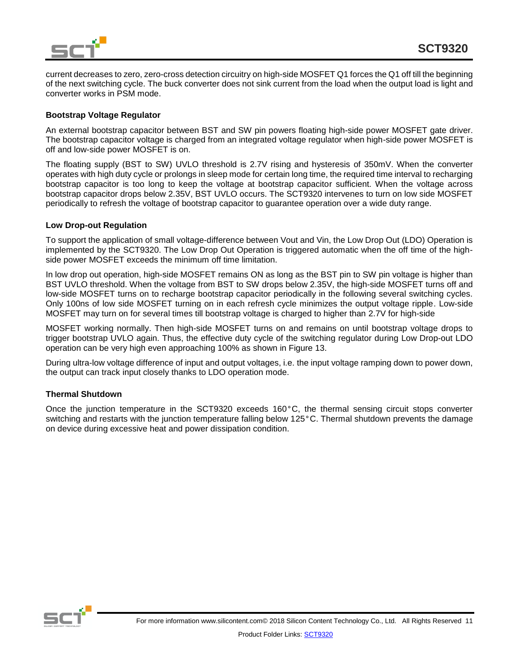

current decreases to zero, zero-cross detection circuitry on high-side MOSFET Q1 forces the Q1 off till the beginning of the next switching cycle. The buck converter does not sink current from the load when the output load is light and converter works in PSM mode.

#### **Bootstrap Voltage Regulator**

An external bootstrap capacitor between BST and SW pin powers floating high-side power MOSFET gate driver. The bootstrap capacitor voltage is charged from an integrated voltage regulator when high-side power MOSFET is off and low-side power MOSFET is on.

The floating supply (BST to SW) UVLO threshold is 2.7V rising and hysteresis of 350mV. When the converter operates with high duty cycle or prolongs in sleep mode for certain long time, the required time interval to recharging bootstrap capacitor is too long to keep the voltage at bootstrap capacitor sufficient. When the voltage across bootstrap capacitor drops below 2.35V, BST UVLO occurs. The SCT9320 intervenes to turn on low side MOSFET periodically to refresh the voltage of bootstrap capacitor to guarantee operation over a wide duty range.

#### **Low Drop-out Regulation**

To support the application of small voltage-difference between Vout and Vin, the Low Drop Out (LDO) Operation is implemented by the SCT9320. The Low Drop Out Operation is triggered automatic when the off time of the highside power MOSFET exceeds the minimum off time limitation.

In low drop out operation, high-side MOSFET remains ON as long as the BST pin to SW pin voltage is higher than BST UVLO threshold. When the voltage from BST to SW drops below 2.35V, the high-side MOSFET turns off and low-side MOSFET turns on to recharge bootstrap capacitor periodically in the following several switching cycles. Only 100ns of low side MOSFET turning on in each refresh cycle minimizes the output voltage ripple. Low-side MOSFET may turn on for several times till bootstrap voltage is charged to higher than 2.7V for high-side

MOSFET working normally. Then high-side MOSFET turns on and remains on until bootstrap voltage drops to trigger bootstrap UVLO again. Thus, the effective duty cycle of the switching regulator during Low Drop-out LDO operation can be very high even approaching 100% as shown in Figure 13.

During ultra-low voltage difference of input and output voltages, i.e. the input voltage ramping down to power down, the output can track input closely thanks to LDO operation mode.

#### **Thermal Shutdown**

Once the junction temperature in the SCT9320 exceeds 160°C, the thermal sensing circuit stops converter switching and restarts with the junction temperature falling below 125°C. Thermal shutdown prevents the damage on device during excessive heat and power dissipation condition.

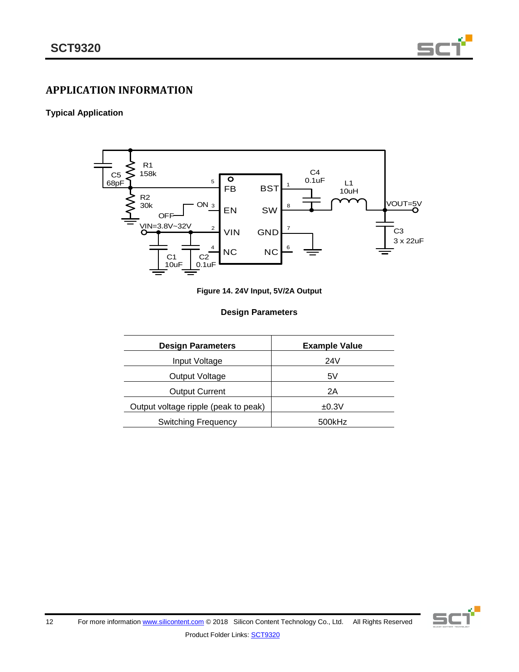

# **APPLICATION INFORMATION**

### **Typical Application**



|  |  |  |  |  | Figure 14. 24V Input, 5V/2A Output |
|--|--|--|--|--|------------------------------------|
|--|--|--|--|--|------------------------------------|

#### **Design Parameters**

| <b>Design Parameters</b>             | <b>Example Value</b> |
|--------------------------------------|----------------------|
| Input Voltage                        | 24V                  |
| Output Voltage                       | 5٧                   |
| <b>Output Current</b>                | 2Α                   |
| Output voltage ripple (peak to peak) | ±0.3V                |
| <b>Switching Frequency</b>           | 500kHz               |

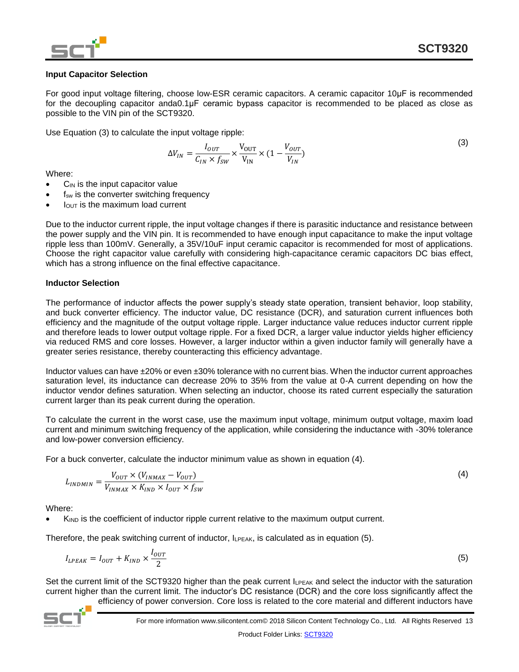

#### **Input Capacitor Selection**

For good input voltage filtering, choose low-ESR ceramic capacitors. A ceramic capacitor 10μF is recommended for the decoupling capacitor anda0.1μF ceramic bypass capacitor is recommended to be placed as close as possible to the VIN pin of the SCT9320.

Use Equation (3) to calculate the input voltage ripple:

$$
\Delta V_{IN} = \frac{I_{OUT}}{C_{IN} \times f_{SW}} \times \frac{V_{OUT}}{V_{IN}} \times (1 - \frac{V_{OUT}}{V_{IN}})
$$
(3)

Where:

- $C_{IN}$  is the input capacitor value
- f<sub>sw</sub> is the converter switching frequency
- lout is the maximum load current

Due to the inductor current ripple, the input voltage changes if there is parasitic inductance and resistance between the power supply and the VIN pin. It is recommended to have enough input capacitance to make the input voltage ripple less than 100mV. Generally, a 35V/10uF input ceramic capacitor is recommended for most of applications. Choose the right capacitor value carefully with considering high-capacitance ceramic capacitors DC bias effect, which has a strong influence on the final effective capacitance.

#### **Inductor Selection**

The performance of inductor affects the power supply's steady state operation, transient behavior, loop stability, and buck converter efficiency. The inductor value, DC resistance (DCR), and saturation current influences both efficiency and the magnitude of the output voltage ripple. Larger inductance value reduces inductor current ripple and therefore leads to lower output voltage ripple. For a fixed DCR, a larger value inductor yields higher efficiency via reduced RMS and core losses. However, a larger inductor within a given inductor family will generally have a greater series resistance, thereby counteracting this efficiency advantage.

Inductor values can have ±20% or even ±30% tolerance with no current bias. When the inductor current approaches saturation level, its inductance can decrease 20% to 35% from the value at 0-A current depending on how the inductor vendor defines saturation. When selecting an inductor, choose its rated current especially the saturation current larger than its peak current during the operation.

To calculate the current in the worst case, use the maximum input voltage, minimum output voltage, maxim load current and minimum switching frequency of the application, while considering the inductance with -30% tolerance and low-power conversion efficiency.

For a buck converter, calculate the inductor minimum value as shown in equation (4).

$$
L_{INDMIN} = \frac{V_{OUT} \times (V_{INMAX} - V_{OUT})}{V_{INMAX} \times K_{IND} \times I_{OUT} \times f_{SW}}
$$
(4)

Where:

 $K_{\text{IND}}$  is the coefficient of inductor ripple current relative to the maximum output current.

Therefore, the peak switching current of inductor,  $I_{LPEAK}$ , is calculated as in equation (5).

$$
I_{LPEAK} = I_{OUT} + K_{IND} \times \frac{I_{OUT}}{2}
$$
\n
$$
\tag{5}
$$

Set the current limit of the SCT9320 higher than the peak current  $I_{LPEAK}$  and select the inductor with the saturation current higher than the current limit. The inductor's DC resistance (DCR) and the core loss significantly affect the

efficiency of power conversion. Core loss is related to the core material and different inductors have

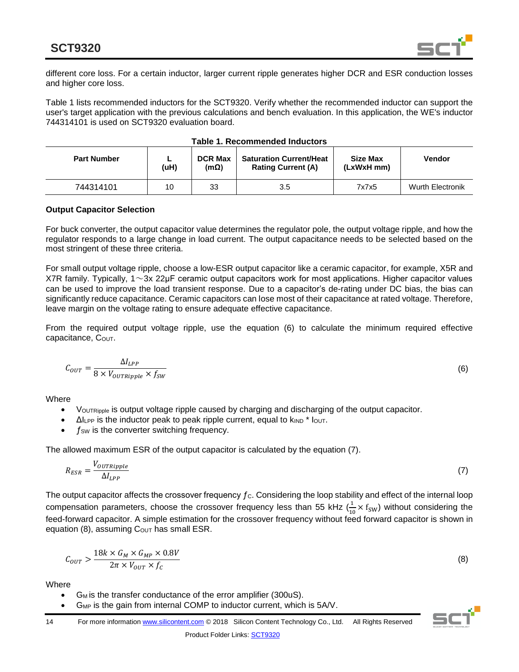

different core loss. For a certain inductor, larger current ripple generates higher DCR and ESR conduction losses and higher core loss.

Table 1 lists recommended inductors for the SCT9320. Verify whether the recommended inductor can support the user's target application with the previous calculations and bench evaluation. In this application, the WE's inductor 744314101 is used on SCT9320 evaluation board.

| <b>Part Number</b> | (uH) | <b>DCR Max</b><br>$(m\Omega)$ | <b>Saturation Current/Heat</b><br><b>Rating Current (A)</b> | Size Max<br>(LxWxH mm) | <b>Vendor</b>           |
|--------------------|------|-------------------------------|-------------------------------------------------------------|------------------------|-------------------------|
| 744314101          | 10   | 33                            | 3.5                                                         | 7x7x5                  | <b>Wurth Electronik</b> |

|  | Table 1. Recommended Inductors |  |
|--|--------------------------------|--|
|--|--------------------------------|--|

#### **Output Capacitor Selection**

For buck converter, the output capacitor value determines the regulator pole, the output voltage ripple, and how the regulator responds to a large change in load current. The output capacitance needs to be selected based on the most stringent of these three criteria.

For small output voltage ripple, choose a low-ESR output capacitor like a ceramic capacitor, for example, X5R and X7R family. Typically, 1~3x 22μF ceramic output capacitors work for most applications. Higher capacitor values can be used to improve the load transient response. Due to a capacitor's de-rating under DC bias, the bias can significantly reduce capacitance. Ceramic capacitors can lose most of their capacitance at rated voltage. Therefore, leave margin on the voltage rating to ensure adequate effective capacitance.

From the required output voltage ripple, use the equation (6) to calculate the minimum required effective capacitance, COUT.

$$
C_{OUT} = \frac{\Delta I_{LPP}}{8 \times V_{OUTRipple} \times f_{SW}}
$$
(6)

**Where** 

- VOUTRipple is output voltage ripple caused by charging and discharging of the output capacitor.
- $\Delta l_{\text{LPP}}$  is the inductor peak to peak ripple current, equal to  $k_{\text{IND}}$  \* lout.
- $f_{SW}$  is the converter switching frequency.

The allowed maximum ESR of the output capacitor is calculated by the equation (7).

$$
R_{ESR} = \frac{V_{OUTRipple}}{\Delta l_{LPP}}\tag{7}
$$

The output capacitor affects the crossover frequency  $f_c$ . Considering the loop stability and effect of the internal loop compensation parameters, choose the crossover frequency less than 55 kHz  $(\frac{1}{\sqrt{2}})$  $\frac{1}{10}$  × f<sub>SW</sub>) without considering the feed-forward capacitor. A simple estimation for the crossover frequency without feed forward capacitor is shown in equation (8), assuming  $C_{\text{OUT}}$  has small ESR.

$$
C_{OUT} > \frac{18k \times G_M \times G_{MP} \times 0.8V}{2\pi \times V_{OUT} \times f_C}
$$
\n(8)

**Where** 

- $G_M$  is the transfer conductance of the error amplifier (300uS).
- $G_{MP}$  is the gain from internal COMP to inductor current, which is  $5AV$ .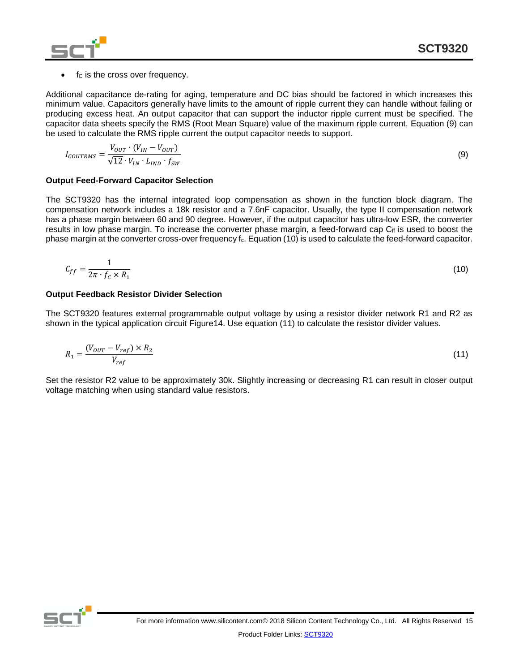fc is the cross over frequency.

Additional capacitance de-rating for aging, temperature and DC bias should be factored in which increases this minimum value. Capacitors generally have limits to the amount of ripple current they can handle without failing or producing excess heat. An output capacitor that can support the inductor ripple current must be specified. The capacitor data sheets specify the RMS (Root Mean Square) value of the maximum ripple current. Equation (9) can be used to calculate the RMS ripple current the output capacitor needs to support.

$$
I_{COUNTRMS} = \frac{V_{OUT} \cdot (V_{IN} - V_{OUT})}{\sqrt{12} \cdot V_{IN} \cdot L_{IND} \cdot f_{SW}}
$$
(9)

#### **Output Feed-Forward Capacitor Selection**

The SCT9320 has the internal integrated loop compensation as shown in the function block diagram. The compensation network includes a 18k resistor and a 7.6nF capacitor. Usually, the type II compensation network has a phase margin between 60 and 90 degree. However, if the output capacitor has ultra-low ESR, the converter results in low phase margin. To increase the converter phase margin, a feed-forward cap  $C_f$  is used to boost the phase margin at the converter cross-over frequency f<sub>c</sub>. Equation (10) is used to calculate the feed-forward capacitor.

$$
C_{ff} = \frac{1}{2\pi \cdot f_c \times R_1} \tag{10}
$$

#### **Output Feedback Resistor Divider Selection**

The SCT9320 features external programmable output voltage by using a resistor divider network R1 and R2 as shown in the typical application circuit Figure14. Use equation (11) to calculate the resistor divider values.

$$
R_1 = \frac{(V_{OUT} - V_{ref}) \times R_2}{V_{ref}} \tag{11}
$$

Set the resistor R2 value to be approximately 30k. Slightly increasing or decreasing R1 can result in closer output voltage matching when using standard value resistors.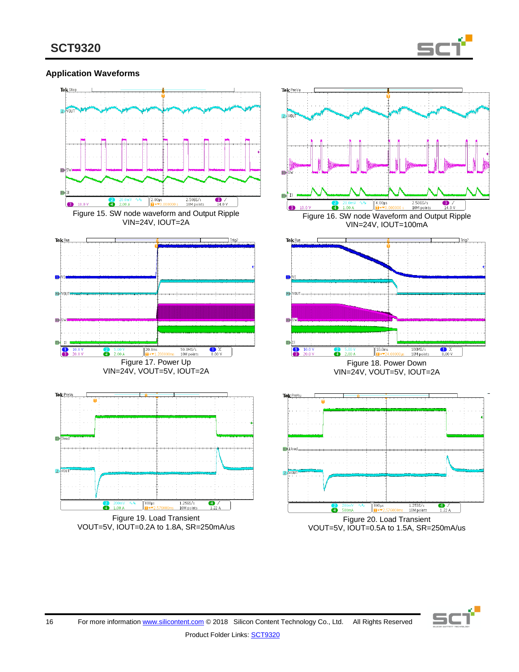

#### **Application Waveforms**



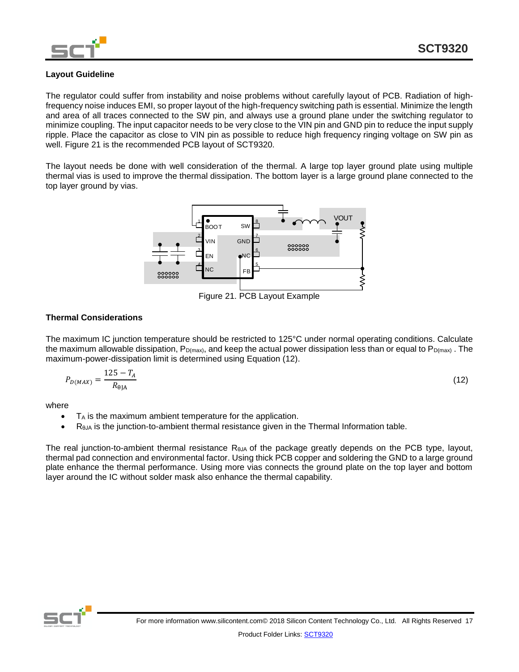

#### **Layout Guideline**

The regulator could suffer from instability and noise problems without carefully layout of PCB. Radiation of highfrequency noise induces EMI, so proper layout of the high-frequency switching path is essential. Minimize the length and area of all traces connected to the SW pin, and always use a ground plane under the switching regulator to minimize coupling. The input capacitor needs to be very close to the VIN pin and GND pin to reduce the input supply ripple. Place the capacitor as close to VIN pin as possible to reduce high frequency ringing voltage on SW pin as well. Figure 21 is the recommended PCB layout of SCT9320.

The layout needs be done with well consideration of the thermal. A large top layer ground plate using multiple thermal vias is used to improve the thermal dissipation. The bottom layer is a large ground plane connected to the top layer ground by vias.



Figure 21. PCB Layout Example

#### **Thermal Considerations**

The maximum IC junction temperature should be restricted to 125°C under normal operating conditions. Calculate the maximum allowable dissipation,  $P_{D(max)}$ , and keep the actual power dissipation less than or equal to  $P_{D(max)}$ . The maximum-power-dissipation limit is determined using Equation (12).

$$
P_{D(MAX)} = \frac{125 - T_A}{R_{\theta \text{JA}}} \tag{12}
$$

where

- T<sub>A</sub> is the maximum ambient temperature for the application.
- $\bullet$  R<sub>θJA</sub> is the junction-to-ambient thermal resistance given in the Thermal Information table.

The real junction-to-ambient thermal resistance RθJA of the package greatly depends on the PCB type, layout, thermal pad connection and environmental factor. Using thick PCB copper and soldering the GND to a large ground plate enhance the thermal performance. Using more vias connects the ground plate on the top layer and bottom layer around the IC without solder mask also enhance the thermal capability.

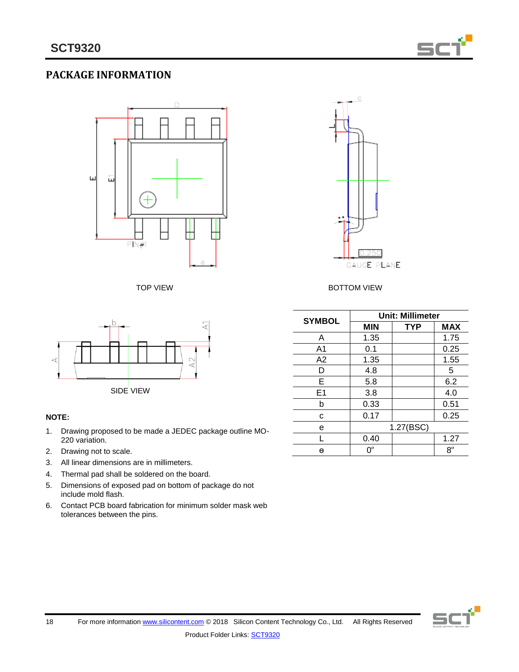

# **PACKAGE INFORMATION**





#### **NOTE:**

- 1. Drawing proposed to be made a JEDEC package outline MO-220 variation.
- 2. Drawing not to scale.
- 3. All linear dimensions are in millimeters.
- 4. Thermal pad shall be soldered on the board.
- 5. Dimensions of exposed pad on bottom of package do not include mold flash.
- 6. Contact PCB board fabrication for minimum solder mask web tolerances between the pins.



#### TOP VIEW **BOTTOM VIEW**

| <b>SYMBOL</b>  | <b>Unit: Millimeter</b> |            |             |
|----------------|-------------------------|------------|-------------|
|                | MIN                     | <b>TYP</b> | <b>MAX</b>  |
| A              | 1.35                    |            | 1.75        |
| A <sub>1</sub> | 0.1                     |            | 0.25        |
| A2             | 1.35                    |            | 1.55        |
| D              | 4.8                     |            | 5           |
| Е              | 5.8                     |            | 6.2         |
| E <sub>1</sub> | 3.8                     |            | 4.0         |
| b              | 0.33                    |            | 0.51        |
| C              | 0.17                    |            | 0.25        |
| е              |                         | 1.27(BSC)  |             |
|                | 0.40                    |            | 1.27        |
| θ              | በ°                      |            | $8^{\circ}$ |

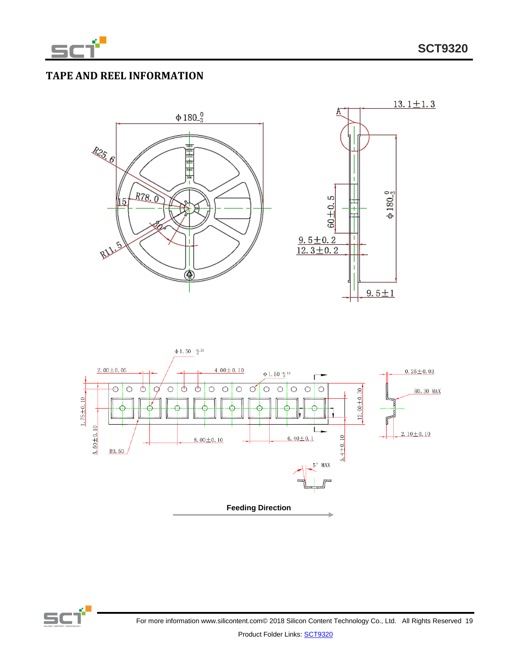

# **TAPE AND REEL INFORMATION**